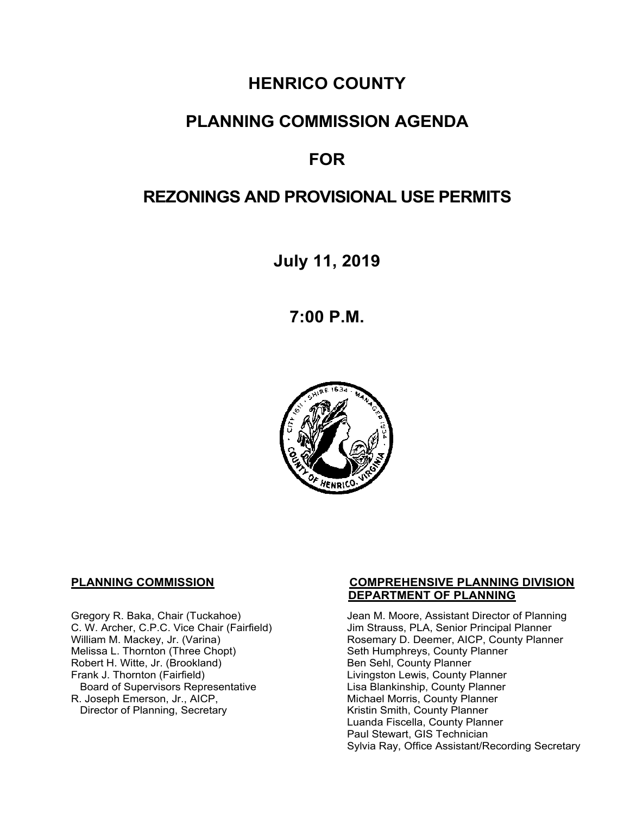# **HENRICO COUNTY**

### **PLANNING COMMISSION AGENDA**

# **FOR**

## **REZONINGS AND PROVISIONAL USE PERMITS**

**July 11, 2019** 

**7:00 P.M.** 



Melissa L. Thornton (Three Chopt) Seth Humphreys, County I<br>
Robert H. Witte, Jr. (Brookland) Seth Sehl, County Planner Robert H. Witte, Jr. (Brookland)<br>Frank J. Thornton (Fairfield) Board of Supervisors Representative<br>R. Joseph Emerson, Jr., AICP, Director of Planning, Secretary

#### **PLANNING COMMISSION COMPREHENSIVE PLANNING DIVISION DEPARTMENT OF PLANNING**

Gregory R. Baka, Chair (Tuckahoe) Jean M. Moore, Assistant Director of Planning<br>C. W. Archer, C.P.C. Vice Chair (Fairfield) Jim Strauss, PLA, Senior Principal Planner C. W. Archer, C.P.C. Vice Chair (Fairfield) Jim Strauss, PLA, Senior Principal Planner<br>William M. Mackey, Jr. (Varina) Santan Busemary D. Deemer, AICP, County Plann Rosemary D. Deemer, AICP, County Planner<br>Seth Humphreys, County Planner Livingston Lewis, County Planner<br>Lisa Blankinship, County Planner Michael Morris, County Planner<br>Kristin Smith, County Planner Luanda Fiscella, County Planner Paul Stewart, GIS Technician Sylvia Ray, Office Assistant/Recording Secretary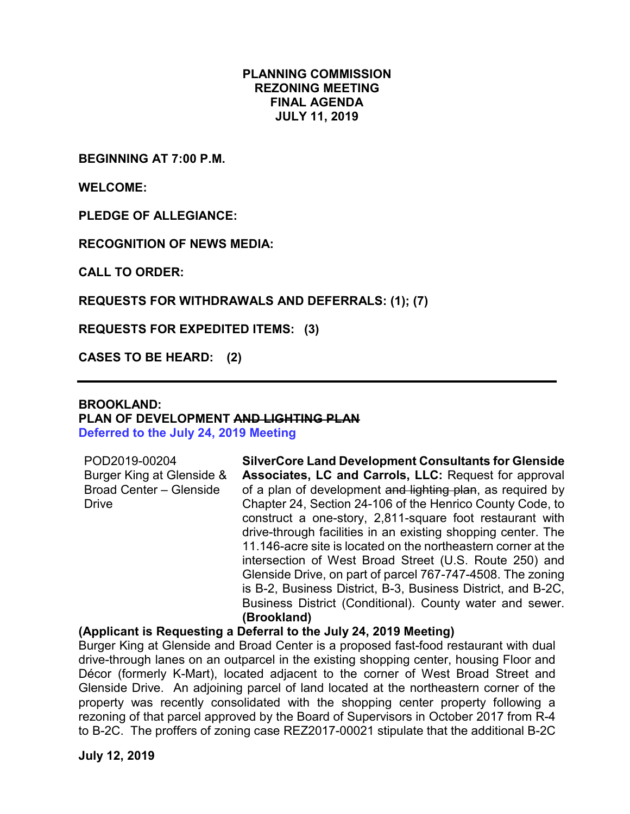#### **PLANNING COMMISSION REZONING MEETING FINAL AGENDA JULY 11, 2019**

**BEGINNING AT 7:00 P.M.**

**WELCOME:**

**PLEDGE OF ALLEGIANCE:**

**RECOGNITION OF NEWS MEDIA:**

**CALL TO ORDER:**

#### **REQUESTS FOR WITHDRAWALS AND DEFERRALS: (1); (7)**

**REQUESTS FOR EXPEDITED ITEMS: (3)**

**CASES TO BE HEARD: (2)**

#### **BROOKLAND: PLAN OF DEVELOPMENT AND LIGHTING PLAN Deferred to the July 24, 2019 Meeting**

| POD2019-00204                  |
|--------------------------------|
| Burger King at Glenside &      |
| <b>Broad Center - Glenside</b> |
| Drive                          |
|                                |

**SilverCore Land Development Consultants for Glenside Associates, LC and Carrols, LLC:** Request for approval of a plan of development and lighting plan, as required by Chapter 24, Section 24-106 of the Henrico County Code, to construct a one-story, 2,811-square foot restaurant with drive-through facilities in an existing shopping center. The 11.146-acre site is located on the northeastern corner at the intersection of West Broad Street (U.S. Route 250) and Glenside Drive, on part of parcel 767-747-4508. The zoning is B-2, Business District, B-3, Business District, and B-2C, Business District (Conditional). County water and sewer. **(Brookland)**

#### **(Applicant is Requesting a Deferral to the July 24, 2019 Meeting)**

Burger King at Glenside and Broad Center is a proposed fast-food restaurant with dual drive-through lanes on an outparcel in the existing shopping center, housing Floor and Décor (formerly K-Mart), located adjacent to the corner of West Broad Street and Glenside Drive. An adjoining parcel of land located at the northeastern corner of the property was recently consolidated with the shopping center property following a rezoning of that parcel approved by the Board of Supervisors in October 2017 from R-4 to B-2C. The proffers of zoning case REZ2017-00021 stipulate that the additional B-2C

**July 12, 2019**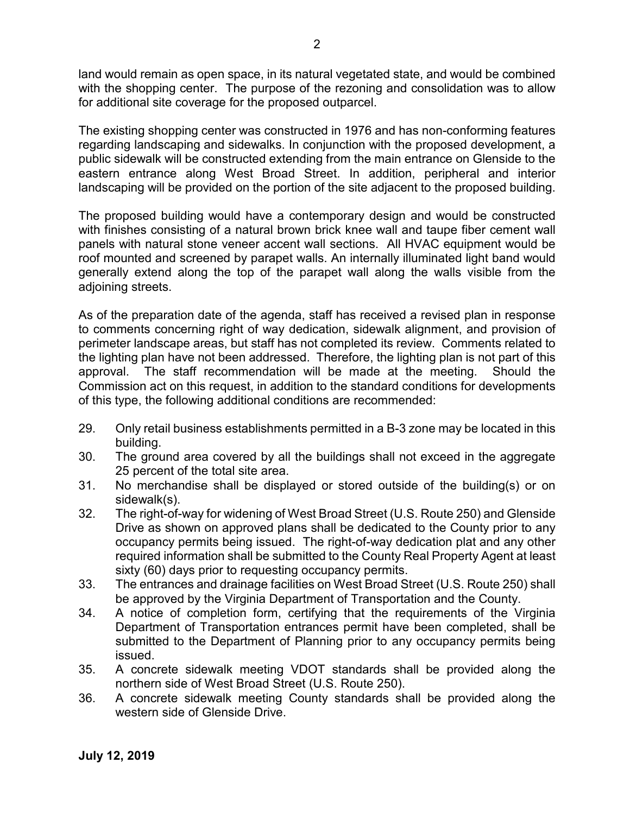land would remain as open space, in its natural vegetated state, and would be combined with the shopping center. The purpose of the rezoning and consolidation was to allow for additional site coverage for the proposed outparcel.

The existing shopping center was constructed in 1976 and has non-conforming features regarding landscaping and sidewalks. In conjunction with the proposed development, a public sidewalk will be constructed extending from the main entrance on Glenside to the eastern entrance along West Broad Street. In addition, peripheral and interior landscaping will be provided on the portion of the site adjacent to the proposed building.

The proposed building would have a contemporary design and would be constructed with finishes consisting of a natural brown brick knee wall and taupe fiber cement wall panels with natural stone veneer accent wall sections. All HVAC equipment would be roof mounted and screened by parapet walls. An internally illuminated light band would generally extend along the top of the parapet wall along the walls visible from the adjoining streets.

As of the preparation date of the agenda, staff has received a revised plan in response to comments concerning right of way dedication, sidewalk alignment, and provision of perimeter landscape areas, but staff has not completed its review. Comments related to the lighting plan have not been addressed. Therefore, the lighting plan is not part of this approval. The staff recommendation will be made at the meeting. Should the Commission act on this request, in addition to the standard conditions for developments of this type, the following additional conditions are recommended:

- 29. Only retail business establishments permitted in a B-3 zone may be located in this building.
- 30. The ground area covered by all the buildings shall not exceed in the aggregate 25 percent of the total site area.
- 31. No merchandise shall be displayed or stored outside of the building(s) or on sidewalk(s).
- 32. The right-of-way for widening of West Broad Street (U.S. Route 250) and Glenside Drive as shown on approved plans shall be dedicated to the County prior to any occupancy permits being issued. The right-of-way dedication plat and any other required information shall be submitted to the County Real Property Agent at least sixty (60) days prior to requesting occupancy permits.
- 33. The entrances and drainage facilities on West Broad Street (U.S. Route 250) shall be approved by the Virginia Department of Transportation and the County.
- 34. A notice of completion form, certifying that the requirements of the Virginia Department of Transportation entrances permit have been completed, shall be submitted to the Department of Planning prior to any occupancy permits being issued.
- 35. A concrete sidewalk meeting VDOT standards shall be provided along the northern side of West Broad Street (U.S. Route 250).
- 36. A concrete sidewalk meeting County standards shall be provided along the western side of Glenside Drive.

**July 12, 2019**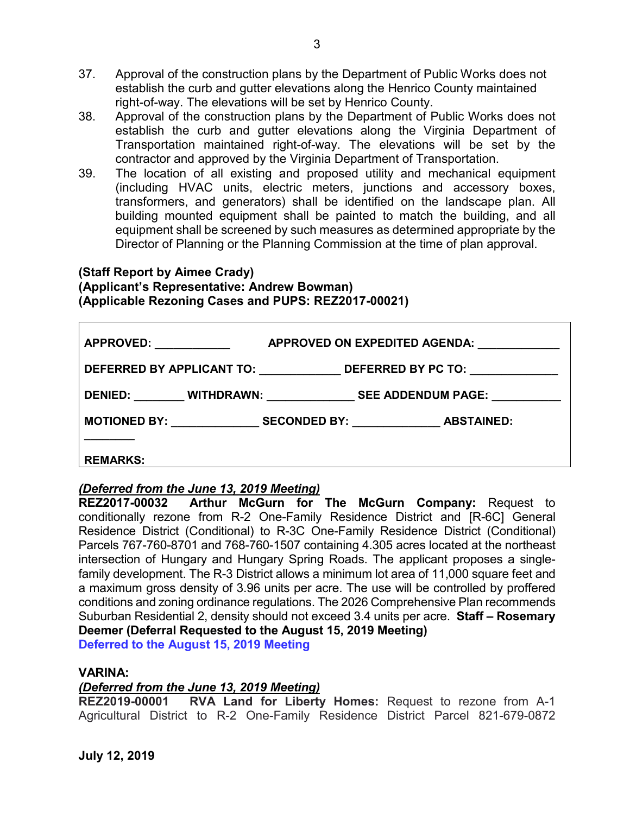- 37. Approval of the construction plans by the Department of Public Works does not establish the curb and gutter elevations along the Henrico County maintained right-of-way. The elevations will be set by Henrico County.
- 38. Approval of the construction plans by the Department of Public Works does not establish the curb and gutter elevations along the Virginia Department of Transportation maintained right-of-way. The elevations will be set by the contractor and approved by the Virginia Department of Transportation.
- 39. The location of all existing and proposed utility and mechanical equipment (including HVAC units, electric meters, junctions and accessory boxes, transformers, and generators) shall be identified on the landscape plan. All building mounted equipment shall be painted to match the building, and all equipment shall be screened by such measures as determined appropriate by the Director of Planning or the Planning Commission at the time of plan approval.

#### **(Staff Report by Aimee Crady) (Applicant's Representative: Andrew Bowman) (Applicable Rezoning Cases and PUPS: REZ2017-00021)**

| <b>APPROVED: _____________</b> | APPROVED ON EXPEDITED AGENDA: North and the set of the set of the set of the set of the set of the set of the set of the set of the set of the set of the set of the set of the set of the set of the set of the set of the se |
|--------------------------------|--------------------------------------------------------------------------------------------------------------------------------------------------------------------------------------------------------------------------------|
|                                | DEFERRED BY APPLICANT TO: _______________DEFERRED BY PC TO: ____________________                                                                                                                                               |
|                                | DENIED: _________ WITHDRAWN: _________________ SEE ADDENDUM PAGE: ____________                                                                                                                                                 |
|                                | MOTIONED BY: SECONDED BY: ABSTAINED:                                                                                                                                                                                           |
|                                |                                                                                                                                                                                                                                |
| <b>REMARKS:</b>                |                                                                                                                                                                                                                                |

### *(Deferred from the June 13, 2019 Meeting)*

**REZ2017-00032 Arthur McGurn for The McGurn Company:** Request to conditionally rezone from R-2 One-Family Residence District and [R-6C] General Residence District (Conditional) to R-3C One-Family Residence District (Conditional) Parcels 767-760-8701 and 768-760-1507 containing 4.305 acres located at the northeast intersection of Hungary and Hungary Spring Roads. The applicant proposes a singlefamily development. The R-3 District allows a minimum lot area of 11,000 square feet and a maximum gross density of 3.96 units per acre. The use will be controlled by proffered conditions and zoning ordinance regulations. The 2026 Comprehensive Plan recommends Suburban Residential 2, density should not exceed 3.4 units per acre. **Staff – Rosemary Deemer (Deferral Requested to the August 15, 2019 Meeting)**

**Deferred to the August 15, 2019 Meeting**

### **VARINA:**

# *(Deferred from the June 13, 2019 Meeting)*

**RVA Land for Liberty Homes:** Request to rezone from A-1 Agricultural District to R-2 One-Family Residence District Parcel 821-679-0872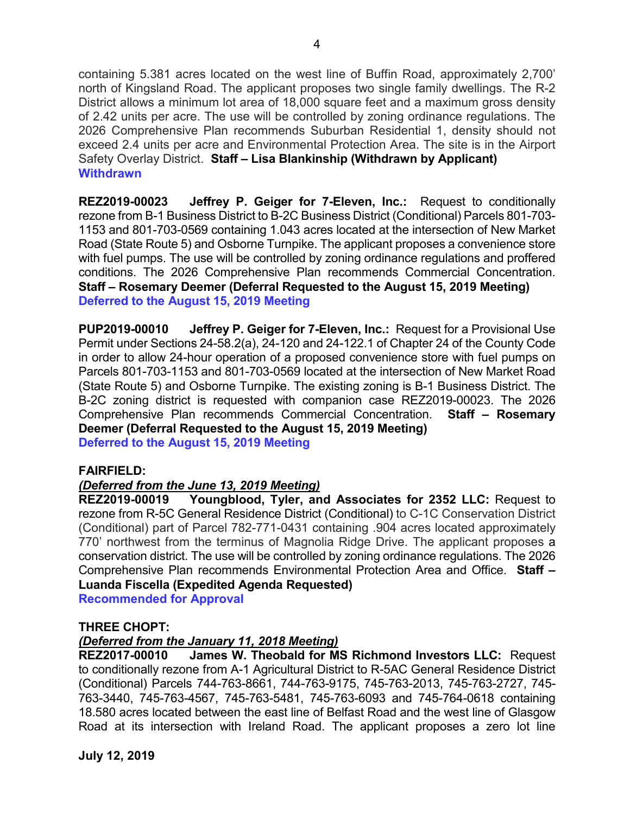containing 5.381 acres located on the west line of Buffin Road, approximately 2,700' north of Kingsland Road. The applicant proposes two single family dwellings. The R-2 District allows a minimum lot area of 18,000 square feet and a maximum gross density of 2.42 units per acre. The use will be controlled by zoning ordinance regulations. The 2026 Comprehensive Plan recommends Suburban Residential 1, density should not exceed 2.4 units per acre and Environmental Protection Area. The site is in the Airport Safety Overlay District. **Staff – Lisa Blankinship (Withdrawn by Applicant) Withdrawn**

**REZ2019-00023 Jeffrey P. Geiger for 7-Eleven, Inc.:** Request to conditionally rezone from B-1 Business District to B-2C Business District (Conditional) Parcels 801-703- 1153 and 801-703-0569 containing 1.043 acres located at the intersection of New Market Road (State Route 5) and Osborne Turnpike. The applicant proposes a convenience store with fuel pumps. The use will be controlled by zoning ordinance regulations and proffered conditions. The 2026 Comprehensive Plan recommends Commercial Concentration. **Staff – Rosemary Deemer (Deferral Requested to the August 15, 2019 Meeting) Deferred to the August 15, 2019 Meeting**

**PUP2019-00010 Jeffrey P. Geiger for 7-Eleven, Inc.:** Request for a Provisional Use Permit under Sections 24-58.2(a), 24-120 and 24-122.1 of Chapter 24 of the County Code in order to allow 24-hour operation of a proposed convenience store with fuel pumps on Parcels 801-703-1153 and 801-703-0569 located at the intersection of New Market Road (State Route 5) and Osborne Turnpike. The existing zoning is B-1 Business District. The B-2C zoning district is requested with companion case REZ2019-00023. The 2026 Comprehensive Plan recommends Commercial Concentration. **Staff – Rosemary Deemer (Deferral Requested to the August 15, 2019 Meeting) Deferred to the August 15, 2019 Meeting**

#### **FAIRFIELD:**

#### *(Deferred from the June 13, 2019 Meeting)*

**REZ2019-00019 Youngblood, Tyler, and Associates for 2352 LLC:** Request to rezone from R-5C General Residence District (Conditional) to C-1C Conservation District (Conditional) part of Parcel 782-771-0431 containing .904 acres located approximately 770' northwest from the terminus of Magnolia Ridge Drive. The applicant proposes a conservation district. The use will be controlled by zoning ordinance regulations. The 2026 Comprehensive Plan recommends Environmental Protection Area and Office. **Staff – Luanda Fiscella (Expedited Agenda Requested)**

**Recommended for Approval**

#### **THREE CHOPT:**

#### *(Deferred from the January 11, 2018 Meeting)*

**REZ2017-00010 James W. Theobald for MS Richmond Investors LLC:** Request to conditionally rezone from A-1 Agricultural District to R-5AC General Residence District (Conditional) Parcels 744-763-8661, 744-763-9175, 745-763-2013, 745-763-2727, 745- 763-3440, 745-763-4567, 745-763-5481, 745-763-6093 and 745-764-0618 containing 18.580 acres located between the east line of Belfast Road and the west line of Glasgow Road at its intersection with Ireland Road. The applicant proposes a zero lot line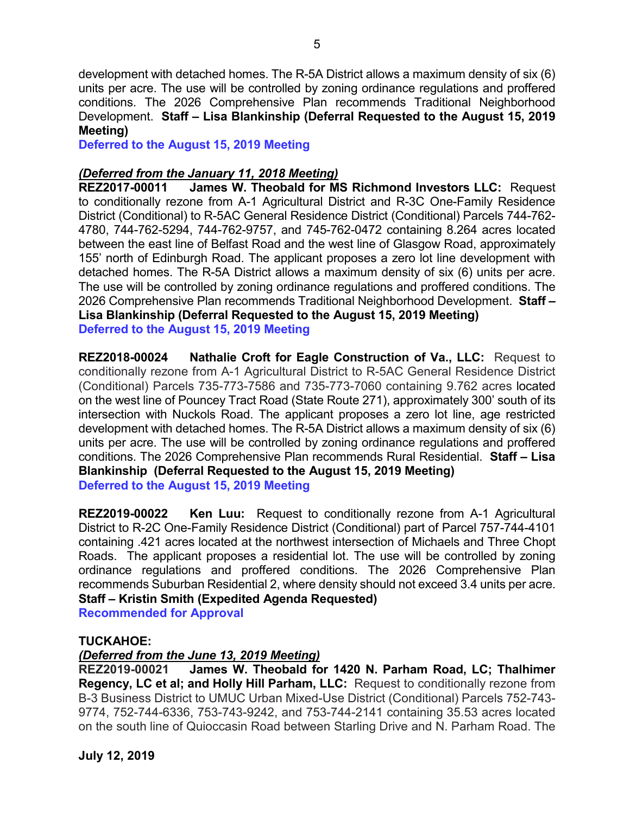development with detached homes. The R-5A District allows a maximum density of six (6) units per acre. The use will be controlled by zoning ordinance regulations and proffered conditions. The 2026 Comprehensive Plan recommends Traditional Neighborhood Development. **Staff – Lisa Blankinship (Deferral Requested to the August 15, 2019 Meeting)**

**Deferred to the August 15, 2019 Meeting**

#### *(Deferred from the January 11, 2018 Meeting)*

**REZ2017-00011 James W. Theobald for MS Richmond Investors LLC:** Request to conditionally rezone from A-1 Agricultural District and R-3C One-Family Residence District (Conditional) to R-5AC General Residence District (Conditional) Parcels 744-762- 4780, 744-762-5294, 744-762-9757, and 745-762-0472 containing 8.264 acres located between the east line of Belfast Road and the west line of Glasgow Road, approximately 155' north of Edinburgh Road. The applicant proposes a zero lot line development with detached homes. The R-5A District allows a maximum density of six (6) units per acre. The use will be controlled by zoning ordinance regulations and proffered conditions. The 2026 Comprehensive Plan recommends Traditional Neighborhood Development. **Staff – Lisa Blankinship (Deferral Requested to the August 15, 2019 Meeting) Deferred to the August 15, 2019 Meeting**

**REZ2018-00024 Nathalie Croft for Eagle Construction of Va., LLC:** Request to conditionally rezone from A-1 Agricultural District to R-5AC General Residence District (Conditional) Parcels 735-773-7586 and 735-773-7060 containing 9.762 acres located on the west line of Pouncey Tract Road (State Route 271), approximately 300' south of its intersection with Nuckols Road. The applicant proposes a zero lot line, age restricted development with detached homes. The R-5A District allows a maximum density of six (6) units per acre. The use will be controlled by zoning ordinance regulations and proffered conditions. The 2026 Comprehensive Plan recommends Rural Residential. **Staff – Lisa Blankinship (Deferral Requested to the August 15, 2019 Meeting) Deferred to the August 15, 2019 Meeting**

**REZ2019-00022 Ken Luu:** Request to conditionally rezone from A-1 Agricultural District to R-2C One-Family Residence District (Conditional) part of Parcel 757-744-4101 containing .421 acres located at the northwest intersection of Michaels and Three Chopt Roads. The applicant proposes a residential lot. The use will be controlled by zoning ordinance regulations and proffered conditions. The 2026 Comprehensive Plan recommends Suburban Residential 2, where density should not exceed 3.4 units per acre. **Staff – Kristin Smith (Expedited Agenda Requested)**

**Recommended for Approval**

#### **TUCKAHOE:**

# *(Deferred from the June 13, 2019 Meeting)*

**REZ2019-00021 James W. Theobald for 1420 N. Parham Road, LC; Thalhimer Regency, LC et al; and Holly Hill Parham, LLC:** Request to conditionally rezone from B-3 Business District to UMUC Urban Mixed-Use District (Conditional) Parcels 752-743- 9774, 752-744-6336, 753-743-9242, and 753-744-2141 containing 35.53 acres located on the south line of Quioccasin Road between Starling Drive and N. Parham Road. The